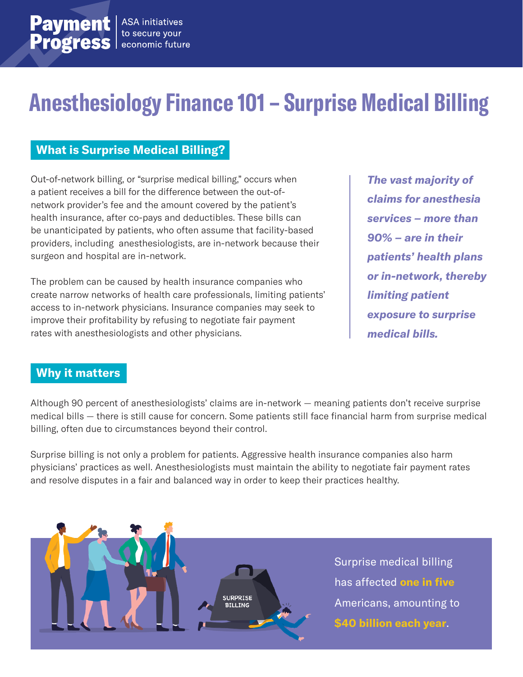# **Anesthesiology Finance 101 – Surprise Medical Billing**

### **What is Surprise Medical Billing?**

Out-of-network billing, or "surprise medical billing," occurs when a patient receives a bill for the difference between the out-ofnetwork provider's fee and the amount covered by the patient's health insurance, after co-pays and deductibles. These bills can be unanticipated by patients, who often assume that facility-based providers, including anesthesiologists, are in-network because their surgeon and hospital are in-network.

The problem can be caused by health insurance companies who create narrow networks of health care professionals, limiting patients' access to in-network physicians. Insurance companies may seek to improve their profitability by refusing to negotiate fair payment rates with anesthesiologists and other physicians.

*The vast majority of claims for anesthesia services – more than 90% – are in their patients' health plans or in-network, thereby limiting patient exposure to surprise medical bills.*

#### **Why it matters**

Although 90 percent of anesthesiologists' claims are in-network — meaning patients don't receive surprise medical bills — there is still cause for concern. Some patients still face financial harm from surprise medical billing, often due to circumstances beyond their control.

Surprise billing is not only a problem for patients. Aggressive health insurance companies also harm physicians' practices as well. Anesthesiologists must maintain the ability to negotiate fair payment rates and resolve disputes in a fair and balanced way in order to keep their practices healthy.